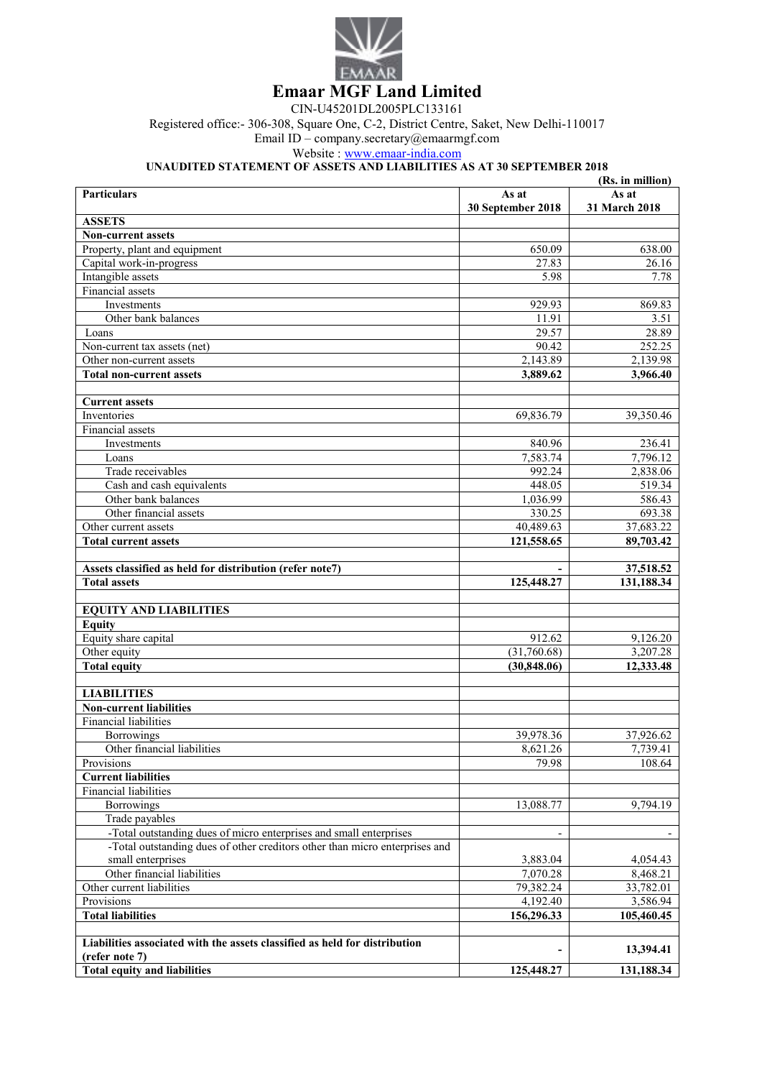

CIN-U45201DL2005PLC133161

Registered office:- 306-308, Square One, C-2, District Centre, Saket, New Delhi-110017

Email ID – company.secretary@emaarmgf.com

Website : www.emaar-india.com

## **UNAUDITED STATEMENT OF ASSETS AND LIABILITIES AS AT 30 SEPTEMBER 2018**

| (Rs. in million)                                                                                 |                      |                      |  |
|--------------------------------------------------------------------------------------------------|----------------------|----------------------|--|
| <b>Particulars</b>                                                                               | As at                | As at                |  |
|                                                                                                  | 30 September 2018    | 31 March 2018        |  |
| <b>ASSETS</b>                                                                                    |                      |                      |  |
| <b>Non-current assets</b>                                                                        |                      |                      |  |
| Property, plant and equipment                                                                    | 650.09               | 638.00               |  |
| Capital work-in-progress                                                                         | 27.83                | 26.16                |  |
| Intangible assets                                                                                | 5.98                 | 7.78                 |  |
| Financial assets                                                                                 |                      |                      |  |
| Investments                                                                                      | 929.93               | 869.83               |  |
| Other bank balances                                                                              | 11.91                | 3.51                 |  |
| Loans                                                                                            | 29.57                | 28.89                |  |
| Non-current tax assets (net)                                                                     | 90.42                | 252.25               |  |
| Other non-current assets                                                                         | 2,143.89             | 2,139.98             |  |
| <b>Total non-current assets</b>                                                                  | 3,889.62             | 3,966.40             |  |
| <b>Current assets</b>                                                                            |                      |                      |  |
| Inventories                                                                                      | 69,836.79            | 39,350.46            |  |
| Financial assets                                                                                 |                      |                      |  |
| Investments                                                                                      | 840.96               | 236.41               |  |
| Loans                                                                                            | 7,583.74             | 7,796.12             |  |
| Trade receivables                                                                                | 992.24               | 2,838.06             |  |
| Cash and cash equivalents                                                                        | 448.05               | 519.34               |  |
| Other bank balances                                                                              | 1,036.99             | 586.43               |  |
| Other financial assets                                                                           | 330.25               | 693.38               |  |
| Other current assets                                                                             | 40,489.63            | 37,683.22            |  |
| <b>Total current assets</b>                                                                      | 121,558.65           | 89,703.42            |  |
|                                                                                                  |                      |                      |  |
| Assets classified as held for distribution (refer note7)                                         |                      | 37,518.52            |  |
| <b>Total assets</b>                                                                              | 125,448.27           | 131,188.34           |  |
|                                                                                                  |                      |                      |  |
| <b>EQUITY AND LIABILITIES</b>                                                                    |                      |                      |  |
| <b>Equity</b>                                                                                    |                      |                      |  |
| Equity share capital                                                                             | 912.62               | 9,126.20             |  |
| Other equity                                                                                     | (31,760.68)          | 3,207.28             |  |
| <b>Total equity</b>                                                                              | (30, 848.06)         | 12,333.48            |  |
|                                                                                                  |                      |                      |  |
| <b>LIABILITIES</b>                                                                               |                      |                      |  |
| <b>Non-current liabilities</b>                                                                   |                      |                      |  |
| <b>Financial liabilities</b>                                                                     |                      |                      |  |
| <b>Borrowings</b>                                                                                | 39,978.36            | 37,926.62            |  |
| Other financial liabilities                                                                      | 8,621.26             | 7,739.41             |  |
| Provisions                                                                                       | 79.98                | 108.64               |  |
| <b>Current liabilities</b>                                                                       |                      |                      |  |
| Financial liabilities                                                                            |                      |                      |  |
| Borrowings                                                                                       | 13,088.77            | 9,794.19             |  |
| Trade payables                                                                                   |                      |                      |  |
| -Total outstanding dues of micro enterprises and small enterprises                               |                      |                      |  |
|                                                                                                  |                      |                      |  |
| -Total outstanding dues of other creditors other than micro enterprises and<br>small enterprises |                      |                      |  |
| Other financial liabilities                                                                      | 3,883.04<br>7,070.28 | 4,054.43<br>8,468.21 |  |
|                                                                                                  | 79,382.24            |                      |  |
| Other current liabilities                                                                        |                      | 33,782.01            |  |
| Provisions                                                                                       | 4,192.40             | 3,586.94             |  |
| <b>Total liabilities</b>                                                                         | 156,296.33           | 105,460.45           |  |
| Liabilities associated with the assets classified as held for distribution                       |                      |                      |  |
| (refer note 7)                                                                                   |                      | 13,394.41            |  |
| <b>Total equity and liabilities</b>                                                              | 125,448.27           | 131,188.34           |  |
|                                                                                                  |                      |                      |  |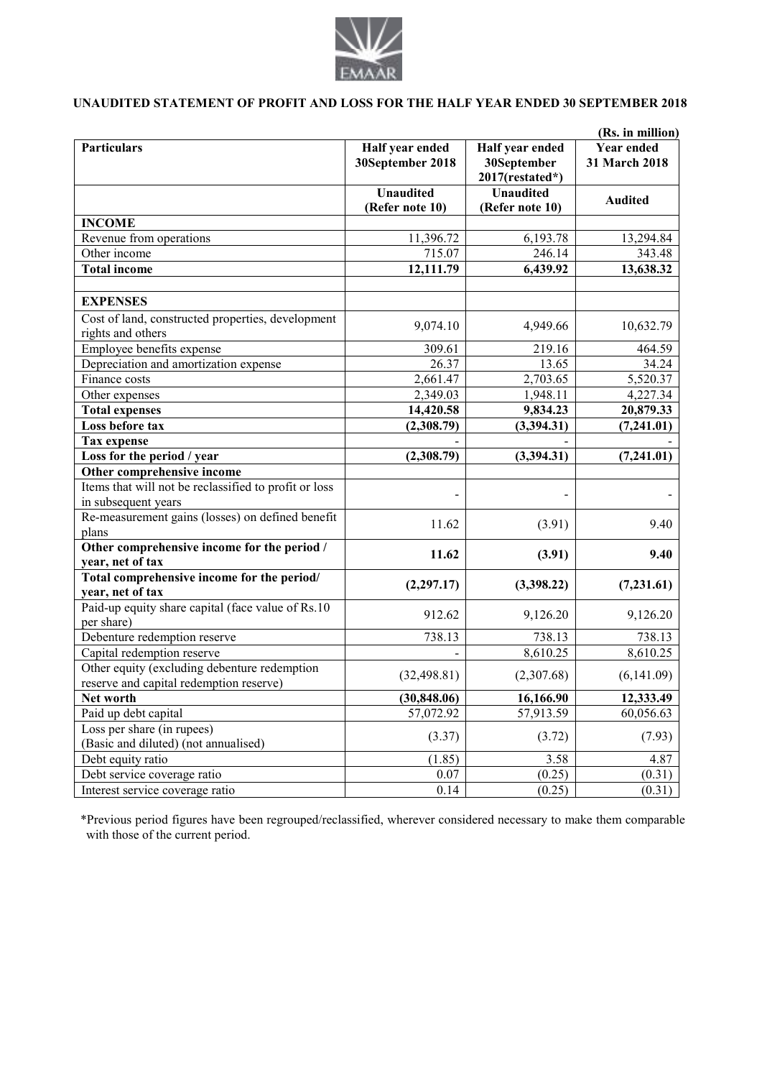

## **UNAUDITED STATEMENT OF PROFIT AND LOSS FOR THE HALF YEAR ENDED 30 SEPTEMBER 2018**

| (Rs. in million)                                                           |                                     |                                                   |                                    |  |
|----------------------------------------------------------------------------|-------------------------------------|---------------------------------------------------|------------------------------------|--|
| <b>Particulars</b>                                                         | Half year ended<br>30September 2018 | Half year ended<br>30September<br>2017(restated*) | <b>Year ended</b><br>31 March 2018 |  |
|                                                                            | <b>Unaudited</b><br>(Refer note 10) | <b>Unaudited</b><br>(Refer note 10)               | <b>Audited</b>                     |  |
| <b>INCOME</b>                                                              |                                     |                                                   |                                    |  |
| Revenue from operations                                                    | 11,396.72                           | 6,193.78                                          | 13,294.84                          |  |
| Other income                                                               | 715.07                              | 246.14                                            | 343.48                             |  |
| <b>Total income</b>                                                        | 12,111.79                           | 6,439.92                                          | 13,638.32                          |  |
| <b>EXPENSES</b>                                                            |                                     |                                                   |                                    |  |
| Cost of land, constructed properties, development<br>rights and others     | 9,074.10                            | 4,949.66                                          | 10,632.79                          |  |
| Employee benefits expense                                                  | 309.61                              | 219.16                                            | 464.59                             |  |
| Depreciation and amortization expense                                      | 26.37                               | 13.65                                             | 34.24                              |  |
| Finance costs                                                              | 2,661.47                            | 2,703.65                                          | 5,520.37                           |  |
| Other expenses                                                             | 2,349.03                            | 1,948.11                                          | 4,227.34                           |  |
| <b>Total expenses</b>                                                      | 14,420.58                           | 9,834.23                                          | 20,879.33                          |  |
| Loss before tax                                                            | (2,308.79)                          | (3,394.31)                                        | (7,241.01)                         |  |
| <b>Tax expense</b>                                                         |                                     |                                                   |                                    |  |
| Loss for the period / year                                                 | (2,308.79)                          | (3,394.31)                                        | (7,241.01)                         |  |
| Other comprehensive income                                                 |                                     |                                                   |                                    |  |
| Items that will not be reclassified to profit or loss                      |                                     |                                                   |                                    |  |
| in subsequent years<br>Re-measurement gains (losses) on defined benefit    |                                     |                                                   |                                    |  |
| plans                                                                      | 11.62                               | (3.91)                                            | 9.40                               |  |
| Other comprehensive income for the period /<br>year, net of tax            | 11.62                               | (3.91)                                            | 9.40                               |  |
| Total comprehensive income for the period/                                 |                                     |                                                   |                                    |  |
| year, net of tax                                                           | (2, 297.17)                         | (3,398.22)                                        | (7, 231.61)                        |  |
| Paid-up equity share capital (face value of Rs.10)                         | 912.62                              | 9,126.20                                          | 9,126.20                           |  |
| per share)                                                                 | 738.13                              |                                                   |                                    |  |
| Debenture redemption reserve                                               |                                     | 738.13<br>8,610.25                                | 738.13                             |  |
| Capital redemption reserve<br>Other equity (excluding debenture redemption |                                     |                                                   | 8,610.25                           |  |
| reserve and capital redemption reserve)                                    | (32, 498.81)                        | (2,307.68)                                        | (6,141.09)                         |  |
| Net worth                                                                  | (30, 848.06)                        | 16,166.90                                         | 12,333.49                          |  |
| Paid up debt capital                                                       | 57,072.92                           | 57,913.59                                         | 60,056.63                          |  |
| Loss per share (in rupees)                                                 | (3.37)                              | (3.72)                                            | (7.93)                             |  |
| (Basic and diluted) (not annualised)                                       |                                     |                                                   |                                    |  |
| Debt equity ratio                                                          | (1.85)                              | 3.58                                              | 4.87                               |  |
| Debt service coverage ratio                                                | 0.07                                | (0.25)                                            | (0.31)                             |  |
| Interest service coverage ratio                                            | 0.14                                | (0.25)                                            | (0.31)                             |  |

\*Previous period figures have been regrouped/reclassified, wherever considered necessary to make them comparable with those of the current period.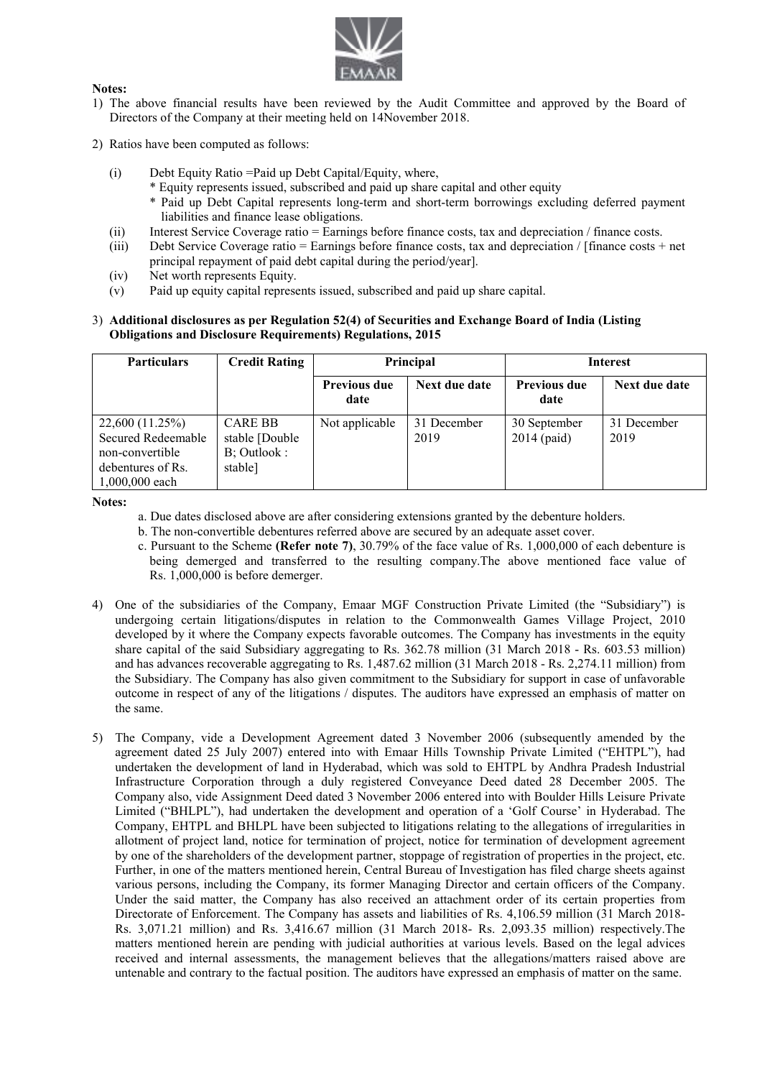

## **Notes:**

- 1) The above financial results have been reviewed by the Audit Committee and approved by the Board of Directors of the Company at their meeting held on 14November 2018.
- 2) Ratios have been computed as follows:
	- (i) Debt Equity Ratio =Paid up Debt Capital/Equity, where,
		- \* Equity represents issued, subscribed and paid up share capital and other equity
			- \* Paid up Debt Capital represents long-term and short-term borrowings excluding deferred payment liabilities and finance lease obligations.
	- (ii) Interest Service Coverage ratio = Earnings before finance costs, tax and depreciation / finance costs.
	- (iii) Debt Service Coverage ratio = Earnings before finance costs, tax and depreciation / [finance costs + net principal repayment of paid debt capital during the period/year].
	- (iv) Net worth represents Equity.
	- (v) Paid up equity capital represents issued, subscribed and paid up share capital.

## 3) **Additional disclosures as per Regulation 52(4) of Securities and Exchange Board of India (Listing Obligations and Disclosure Requirements) Regulations, 2015**

| <b>Particulars</b>                                                                                | <b>Credit Rating</b>                                       | Principal                   |                     | <b>Interest</b>               |                     |
|---------------------------------------------------------------------------------------------------|------------------------------------------------------------|-----------------------------|---------------------|-------------------------------|---------------------|
|                                                                                                   |                                                            | <b>Previous due</b><br>date | Next due date       | <b>Previous due</b><br>date   | Next due date       |
| 22,600 (11.25%)<br>Secured Redeemable<br>non-convertible<br>debentures of Rs.<br>$1,000,000$ each | <b>CARE BB</b><br>stable [Double<br>B; Outlook:<br>stable] | Not applicable              | 31 December<br>2019 | 30 September<br>$2014$ (paid) | 31 December<br>2019 |

**Notes:** 

- a. Due dates disclosed above are after considering extensions granted by the debenture holders.
- b. The non-convertible debentures referred above are secured by an adequate asset cover.
- c. Pursuant to the Scheme **(Refer note 7)**, 30.79% of the face value of Rs. 1,000,000 of each debenture is being demerged and transferred to the resulting company.The above mentioned face value of Rs. 1,000,000 is before demerger.
- 4) One of the subsidiaries of the Company, Emaar MGF Construction Private Limited (the "Subsidiary") is undergoing certain litigations/disputes in relation to the Commonwealth Games Village Project, 2010 developed by it where the Company expects favorable outcomes. The Company has investments in the equity share capital of the said Subsidiary aggregating to Rs. 362.78 million (31 March 2018 - Rs. 603.53 million) and has advances recoverable aggregating to Rs. 1,487.62 million (31 March 2018 - Rs. 2,274.11 million) from the Subsidiary. The Company has also given commitment to the Subsidiary for support in case of unfavorable outcome in respect of any of the litigations / disputes. The auditors have expressed an emphasis of matter on the same.
- 5) The Company, vide a Development Agreement dated 3 November 2006 (subsequently amended by the agreement dated 25 July 2007) entered into with Emaar Hills Township Private Limited ("EHTPL"), had undertaken the development of land in Hyderabad, which was sold to EHTPL by Andhra Pradesh Industrial Infrastructure Corporation through a duly registered Conveyance Deed dated 28 December 2005. The Company also, vide Assignment Deed dated 3 November 2006 entered into with Boulder Hills Leisure Private Limited ("BHLPL"), had undertaken the development and operation of a 'Golf Course' in Hyderabad. The Company, EHTPL and BHLPL have been subjected to litigations relating to the allegations of irregularities in allotment of project land, notice for termination of project, notice for termination of development agreement by one of the shareholders of the development partner, stoppage of registration of properties in the project, etc. Further, in one of the matters mentioned herein, Central Bureau of Investigation has filed charge sheets against various persons, including the Company, its former Managing Director and certain officers of the Company. Under the said matter, the Company has also received an attachment order of its certain properties from Directorate of Enforcement. The Company has assets and liabilities of Rs. 4,106.59 million (31 March 2018- Rs. 3,071.21 million) and Rs. 3,416.67 million (31 March 2018- Rs. 2,093.35 million) respectively.The matters mentioned herein are pending with judicial authorities at various levels. Based on the legal advices received and internal assessments, the management believes that the allegations/matters raised above are untenable and contrary to the factual position. The auditors have expressed an emphasis of matter on the same.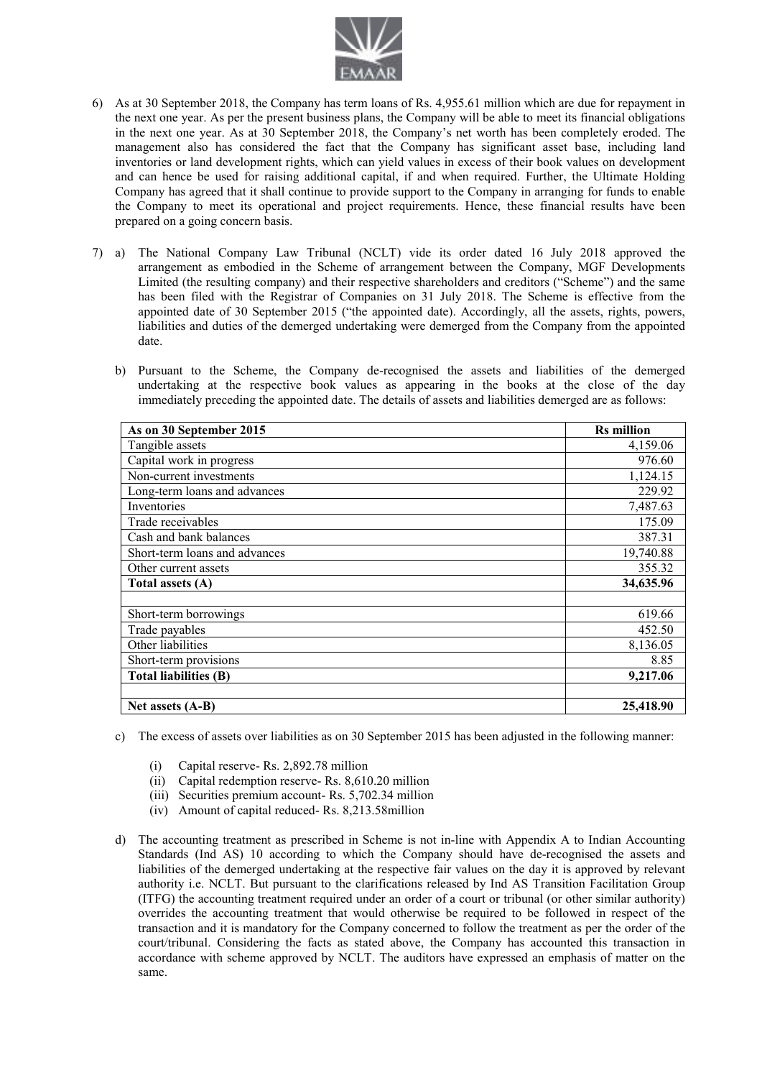

- 6) As at 30 September 2018, the Company has term loans of Rs. 4,955.61 million which are due for repayment in the next one year. As per the present business plans, the Company will be able to meet its financial obligations in the next one year. As at 30 September 2018, the Company's net worth has been completely eroded. The management also has considered the fact that the Company has significant asset base, including land inventories or land development rights, which can yield values in excess of their book values on development and can hence be used for raising additional capital, if and when required. Further, the Ultimate Holding Company has agreed that it shall continue to provide support to the Company in arranging for funds to enable the Company to meet its operational and project requirements. Hence, these financial results have been prepared on a going concern basis.
- 7) a) The National Company Law Tribunal (NCLT) vide its order dated 16 July 2018 approved the arrangement as embodied in the Scheme of arrangement between the Company, MGF Developments Limited (the resulting company) and their respective shareholders and creditors ("Scheme") and the same has been filed with the Registrar of Companies on 31 July 2018. The Scheme is effective from the appointed date of 30 September 2015 ("the appointed date). Accordingly, all the assets, rights, powers, liabilities and duties of the demerged undertaking were demerged from the Company from the appointed date.
	- b) Pursuant to the Scheme, the Company de-recognised the assets and liabilities of the demerged undertaking at the respective book values as appearing in the books at the close of the day immediately preceding the appointed date. The details of assets and liabilities demerged are as follows:

| As on 30 September 2015       | <b>Rs</b> million |
|-------------------------------|-------------------|
| Tangible assets               | 4,159.06          |
| Capital work in progress      | 976.60            |
| Non-current investments       | 1,124.15          |
| Long-term loans and advances  | 229.92            |
| Inventories                   | 7,487.63          |
| Trade receivables             | 175.09            |
| Cash and bank balances        | 387.31            |
| Short-term loans and advances | 19,740.88         |
| Other current assets          | 355.32            |
| Total assets (A)              | 34,635.96         |
|                               |                   |
| Short-term borrowings         | 619.66            |
| Trade payables                | 452.50            |
| Other liabilities             | 8,136.05          |
| Short-term provisions         | 8.85              |
| <b>Total liabilities (B)</b>  | 9,217.06          |
|                               |                   |
| Net assets (A-B)              | 25,418.90         |

- c) The excess of assets over liabilities as on 30 September 2015 has been adjusted in the following manner:
	- (i) Capital reserve- Rs. 2,892.78 million
	- (ii) Capital redemption reserve- Rs. 8,610.20 million
	- (iii) Securities premium account- Rs. 5,702.34 million
	- (iv) Amount of capital reduced- Rs. 8,213.58million
- d) The accounting treatment as prescribed in Scheme is not in-line with Appendix A to Indian Accounting Standards (Ind AS) 10 according to which the Company should have de-recognised the assets and liabilities of the demerged undertaking at the respective fair values on the day it is approved by relevant authority i.e. NCLT. But pursuant to the clarifications released by Ind AS Transition Facilitation Group (ITFG) the accounting treatment required under an order of a court or tribunal (or other similar authority) overrides the accounting treatment that would otherwise be required to be followed in respect of the transaction and it is mandatory for the Company concerned to follow the treatment as per the order of the court/tribunal. Considering the facts as stated above, the Company has accounted this transaction in accordance with scheme approved by NCLT. The auditors have expressed an emphasis of matter on the same.